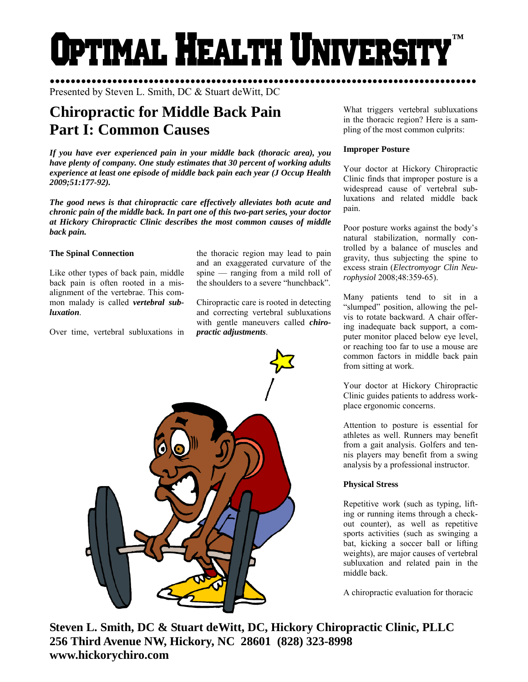Optimal Health Universi **™** 

●●●●●●●●●●●●●●●●●●●●●●●●●●●●●●●●●●●●●●●●●●●●●●●●●●●●●●●●●●●●●●●●●●●●●●●●●●●●●●●●●● Presented by Steven L. Smith, DC & Stuart deWitt, DC

# **Chiropractic for Middle Back Pain Part I: Common Causes**

*If you have ever experienced pain in your middle back (thoracic area), you have plenty of company. One study estimates that 30 percent of working adults experience at least one episode of middle back pain each year (J Occup Health 2009;51:177-92).* 

*The good news is that chiropractic care effectively alleviates both acute and chronic pain of the middle back. In part one of this two-part series, your doctor at Hickory Chiropractic Clinic describes the most common causes of middle back pain.* 

#### **The Spinal Connection**

Like other types of back pain, middle back pain is often rooted in a misalignment of the vertebrae. This common malady is called *vertebral subluxation*.

Over time, vertebral subluxations in

the thoracic region may lead to pain and an exaggerated curvature of the spine — ranging from a mild roll of the shoulders to a severe "hunchback".

Chiropractic care is rooted in detecting and correcting vertebral subluxations with gentle maneuvers called *chiropractic adjustments*.



What triggers vertebral subluxations in the thoracic region? Here is a sampling of the most common culprits:

#### **Improper Posture**

Your doctor at Hickory Chiropractic Clinic finds that improper posture is a widespread cause of vertebral subluxations and related middle back pain.

Poor posture works against the body's natural stabilization, normally controlled by a balance of muscles and gravity, thus subjecting the spine to excess strain (*Electromyogr Clin Neurophysiol* 2008;48:359-65).

Many patients tend to sit in a "slumped" position, allowing the pelvis to rotate backward. A chair offering inadequate back support, a computer monitor placed below eye level, or reaching too far to use a mouse are common factors in middle back pain from sitting at work.

Your doctor at Hickory Chiropractic Clinic guides patients to address workplace ergonomic concerns.

Attention to posture is essential for athletes as well. Runners may benefit from a gait analysis. Golfers and tennis players may benefit from a swing analysis by a professional instructor.

## **Physical Stress**

Repetitive work (such as typing, lifting or running items through a checkout counter), as well as repetitive sports activities (such as swinging a bat, kicking a soccer ball or lifting weights), are major causes of vertebral subluxation and related pain in the middle back.

A chiropractic evaluation for thoracic

**Steven L. Smith, DC & Stuart deWitt, DC, Hickory Chiropractic Clinic, PLLC 256 Third Avenue NW, Hickory, NC 28601 (828) 323-8998 www.hickorychiro.com**